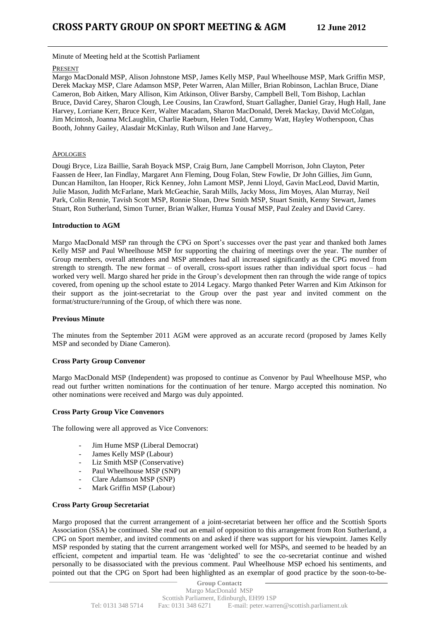Minute of Meeting held at the Scottish Parliament

## PRESENT

Margo MacDonald MSP, Alison Johnstone MSP, James Kelly MSP, Paul Wheelhouse MSP, Mark Griffin MSP, Derek Mackay MSP, Clare Adamson MSP, Peter Warren, Alan Miller, Brian Robinson, Lachlan Bruce, Diane Cameron, Bob Aitken, Mary Allison, Kim Atkinson, Oliver Barsby, Campbell Bell, Tom Bishop, Lachlan Bruce, David Carey, Sharon Clough, Lee Cousins, Ian Crawford, Stuart Gallagher, Daniel Gray, Hugh Hall, Jane Harvey, Lorriane Kerr, Bruce Kerr, Walter Macadam, Sharon MacDonald, Derek Mackay, David McColgan, Jim Mcintosh, Joanna McLaughlin, Charlie Raeburn, Helen Todd, Cammy Watt, Hayley Wotherspoon, Chas Booth, Johnny Gailey, Alasdair McKinlay, Ruth Wilson and Jane Harvey,.

# **APOLOGIES**

Dougi Bryce, Liza Baillie, Sarah Boyack MSP, Craig Burn, Jane Campbell Morrison, John Clayton, Peter Faassen de Heer, Ian Findlay, Margaret Ann Fleming, Doug Folan, Stew Fowlie, Dr John Gillies, Jim Gunn, Duncan Hamilton, Ian Hooper, Rick Kenney, John Lamont MSP, Jenni Lloyd, Gavin MacLeod, David Martin, Julie Mason, Judith McFarlane, Mark McGeachie, Sarah Mills, Jacky Moss, Jim Moyes, Alan Murray, Neil Park, Colin Rennie, Tavish Scott MSP, Ronnie Sloan, Drew Smith MSP, Stuart Smith, Kenny Stewart, James Stuart, Ron Sutherland, Simon Turner, Brian Walker, Humza Yousaf MSP, Paul Zealey and David Carey.

## **Introduction to AGM**

Margo MacDonald MSP ran through the CPG on Sport's successes over the past year and thanked both James Kelly MSP and Paul Wheelhouse MSP for supporting the chairing of meetings over the year. The number of Group members, overall attendees and MSP attendees had all increased significantly as the CPG moved from strength to strength. The new format – of overall, cross-sport issues rather than individual sport focus – had worked very well. Margo shared her pride in the Group's development then ran through the wide range of topics covered, from opening up the school estate to 2014 Legacy. Margo thanked Peter Warren and Kim Atkinson for their support as the joint-secretariat to the Group over the past year and invited comment on the format/structure/running of the Group, of which there was none.

### **Previous Minute**

The minutes from the September 2011 AGM were approved as an accurate record (proposed by James Kelly MSP and seconded by Diane Cameron).

#### **Cross Party Group Convenor**

Margo MacDonald MSP (Independent) was proposed to continue as Convenor by Paul Wheelhouse MSP, who read out further written nominations for the continuation of her tenure. Margo accepted this nomination. No other nominations were received and Margo was duly appointed.

#### **Cross Party Group Vice Convenors**

The following were all approved as Vice Convenors:

- Jim Hume MSP (Liberal Democrat)
- James Kelly MSP (Labour)
- Liz Smith MSP (Conservative)
- Paul Wheelhouse MSP (SNP)
- Clare Adamson MSP (SNP)
- Mark Griffin MSP (Labour)

# **Cross Party Group Secretariat**

Margo proposed that the current arrangement of a joint-secretariat between her office and the Scottish Sports Association (SSA) be continued. She read out an email of opposition to this arrangement from Ron Sutherland, a CPG on Sport member, and invited comments on and asked if there was support for his viewpoint. James Kelly MSP responded by stating that the current arrangement worked well for MSPs, and seemed to be headed by an efficient, competent and impartial team. He was 'delighted' to see the co-secretariat continue and wished personally to be disassociated with the previous comment. Paul Wheelhouse MSP echoed his sentiments, and pointed out that the CPG on Sport had been highlighted as an exemplar of good practice by the soon-to-be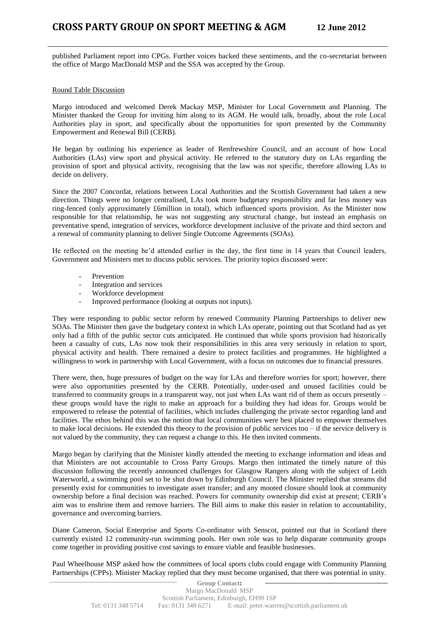published Parliament report into CPGs. Further voices backed these sentiments, and the co-secretariat between the office of Margo MacDonald MSP and the SSA was accepted by the Group.

# Round Table Discussion

Margo introduced and welcomed Derek Mackay MSP, Minister for Local Government and Planning. The Minister thanked the Group for inviting him along to its AGM. He would talk, broadly, about the role Local Authorities play in sport, and specifically about the opportunities for sport presented by the Community Empowerment and Renewal Bill (CERB).

He began by outlining his experience as leader of Renfrewshire Council, and an account of how Local Authorities (LAs) view sport and physical activity. He referred to the statutory duty on LAs regarding the provision of sport and physical activity, recognising that the law was not specific, therefore allowing LAs to decide on delivery.

Since the 2007 Concordat, relations between Local Authorities and the Scottish Government had taken a new direction. Things were no longer centralised, LAs took more budgetary responsibility and far less money was ring-fenced (only approximately £6million in total), which influenced sports provision. As the Minister now responsible for that relationship, he was not suggesting any structural change, but instead an emphasis on preventative spend, integration of services, workforce development inclusive of the private and third sectors and a renewal of community planning to deliver Single Outcome Agreements (SOAs).

He reflected on the meeting he'd attended earlier in the day, the first time in 14 years that Council leaders, Government and Ministers met to discuss public services. The priority topics discussed were:

- Prevention
- Integration and services
- Workforce development
- Improved performance (looking at outputs not inputs).

They were responding to public sector reform by renewed Community Planning Partnerships to deliver new SOAs. The Minister then gave the budgetary context in which LAs operate, pointing out that Scotland had as yet only had a fifth of the public sector cuts anticipated. He continued that while sports provision had historically been a casualty of cuts, LAs now took their responsibilities in this area very seriously in relation to sport, physical activity and health. There remained a desire to protect facilities and programmes. He highlighted a willingness to work in partnership with Local Government, with a focus on outcomes due to financial pressures.

There were, then, huge pressures of budget on the way for LAs and therefore worries for sport; however, there were also opportunities presented by the CERB. Potentially, under-used and unused facilities could be transferred to community groups in a transparent way, not just when LAs want rid of them as occurs presently – these groups would have the right to make an approach for a building they had ideas for. Groups would be empowered to release the potential of facilities, which includes challenging the private sector regarding land and facilities. The ethos behind this was the notion that local communities were best placed to empower themselves to make local decisions. He extended this theory to the provision of public services too – if the service delivery is not valued by the community, they can request a change to this. He then invited comments.

Margo began by clarifying that the Minister kindly attended the meeting to exchange information and ideas and that Ministers are not accountable to Cross Party Groups. Margo then intimated the timely nature of this discussion following the recently announced challenges for Glasgow Rangers along with the subject of Leith Waterworld, a swimming pool set to be shut down by Edinburgh Council. The Minister replied that streams did presently exist for communities to investigate asset transfer; and any mooted closure should look at community ownership before a final decision was reached. Powers for community ownership did exist at present; CERB's aim was to enshrine them and remove barriers. The Bill aims to make this easier in relation to accountability, governance and overcoming barriers.

Diane Cameron, Social Enterprise and Sports Co-ordinator with Senscot, pointed out that in Scotland there currently existed 12 community-run swimming pools. Her own role was to help disparate community groups come together in providing positive cost savings to ensure viable and feasible businesses.

Paul Wheelhouse MSP asked how the committees of local sports clubs could engage with Community Planning Partnerships (CPPs). Minister Mackay replied that they must become organised, that there was potential in unity.